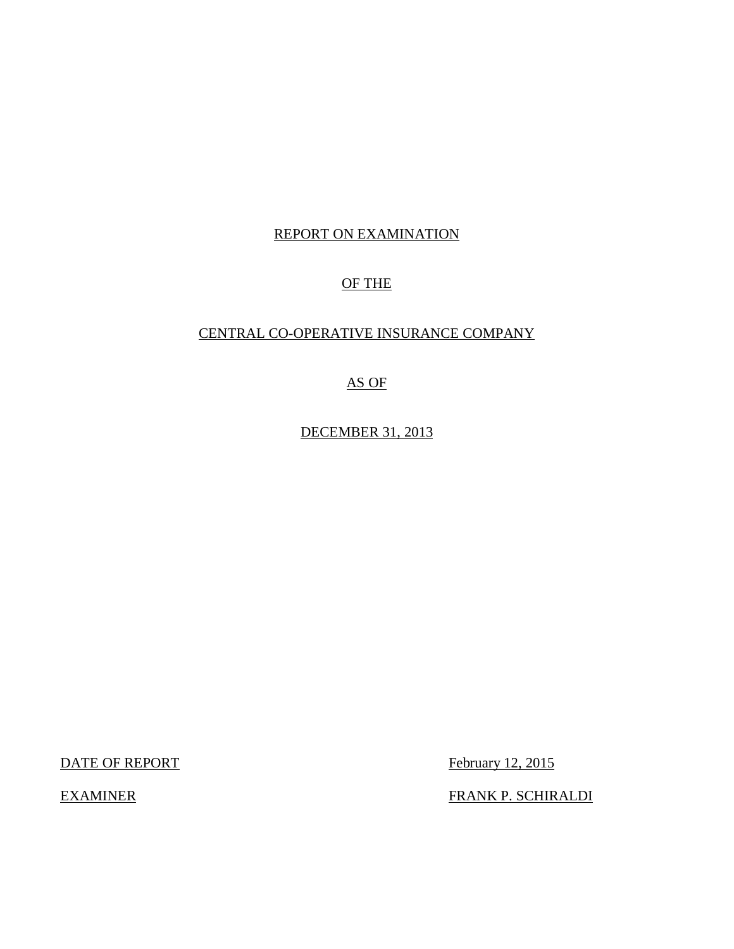## REPORT ON EXAMINATION

## OF THE

## CENTRAL CO-OPERATIVE INSURANCE COMPANY

### AS OF

DECEMBER 31, 2013

DATE OF REPORT FEDEL TO THE SERVICE SERVICE SERVICE SERVICE SERVICE SERVICE SERVICE SERVICE SERVICE SERVICE S

**EXAMINER** 

FRANK P. SCHIRALDI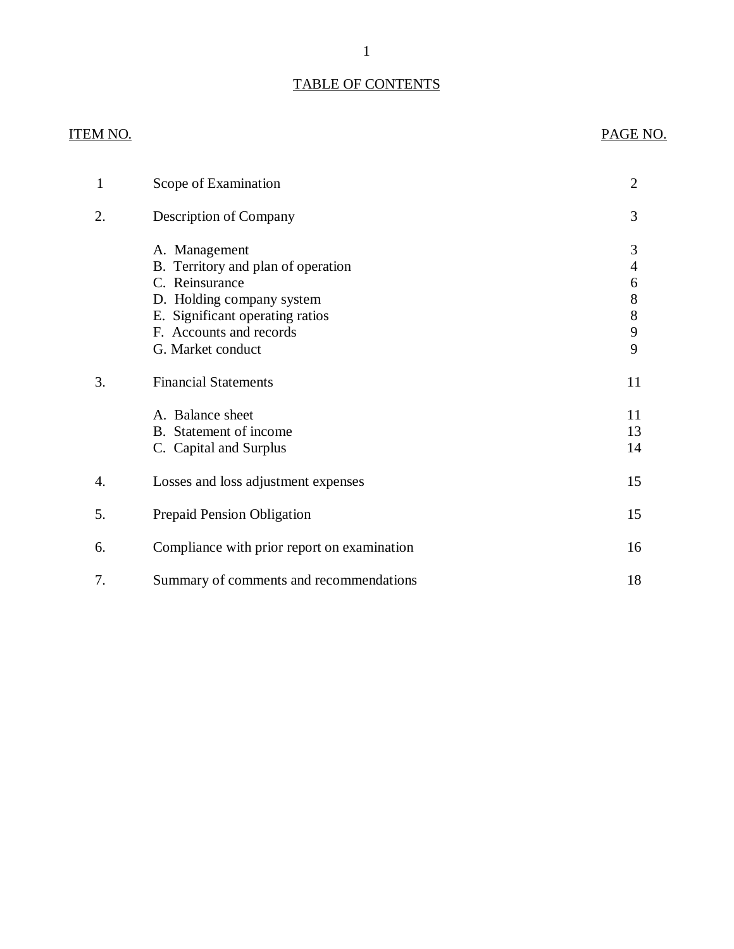### TABLE OF CONTENTS

## **ITEM NO.**

## PAGE NO.

| 1  | Scope of Examination                                                                                                                                                                  | $\overline{2}$                      |
|----|---------------------------------------------------------------------------------------------------------------------------------------------------------------------------------------|-------------------------------------|
| 2. | Description of Company                                                                                                                                                                | 3                                   |
|    | A. Management<br>B. Territory and plan of operation<br>C. Reinsurance<br>D. Holding company system<br>E. Significant operating ratios<br>F. Accounts and records<br>G. Market conduct | 3<br>4<br>6<br>8<br>$8\,$<br>9<br>9 |
| 3. | <b>Financial Statements</b>                                                                                                                                                           | 11                                  |
|    | A. Balance sheet<br>B. Statement of income<br>C. Capital and Surplus                                                                                                                  | 11<br>13<br>14                      |
| 4. | Losses and loss adjustment expenses                                                                                                                                                   | 15                                  |
| 5. | <b>Prepaid Pension Obligation</b>                                                                                                                                                     | 15                                  |
| 6. | Compliance with prior report on examination                                                                                                                                           | 16                                  |
| 7. | Summary of comments and recommendations                                                                                                                                               | 18                                  |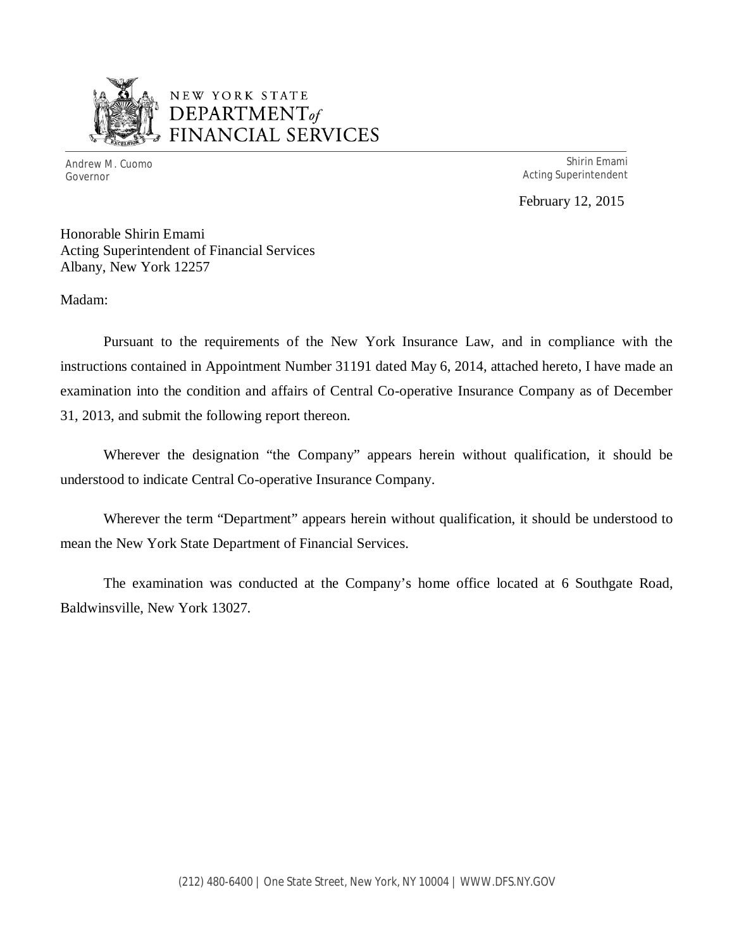

# NEW YORK STATE *DEPARTMENTof*  FINANCIAL SERVICES

Andrew M. Cuomo Shirin Emami Governor **Acting Superintendent** Acting Superintendent

February 12, 2015

Honorable Shirin Emami Acting Superintendent of Financial Services Albany, New York 12257

Madam:

 Pursuant to the requirements of the New York Insurance Law, and in compliance with the instructions contained in Appointment Number 31191 dated May 6, 2014, attached hereto, I have made an examination into the condition and affairs of Central Co-operative Insurance Company as of December 31, 2013, and submit the following report thereon.

 Wherever the designation "the Company" appears herein without qualification, it should be understood to indicate Central Co-operative Insurance Company.

 Wherever the term "Department" appears herein without qualification, it should be understood to mean the New York State Department of Financial Services.

 Baldwinsville, New York 13027. The examination was conducted at the Company's home office located at 6 Southgate Road,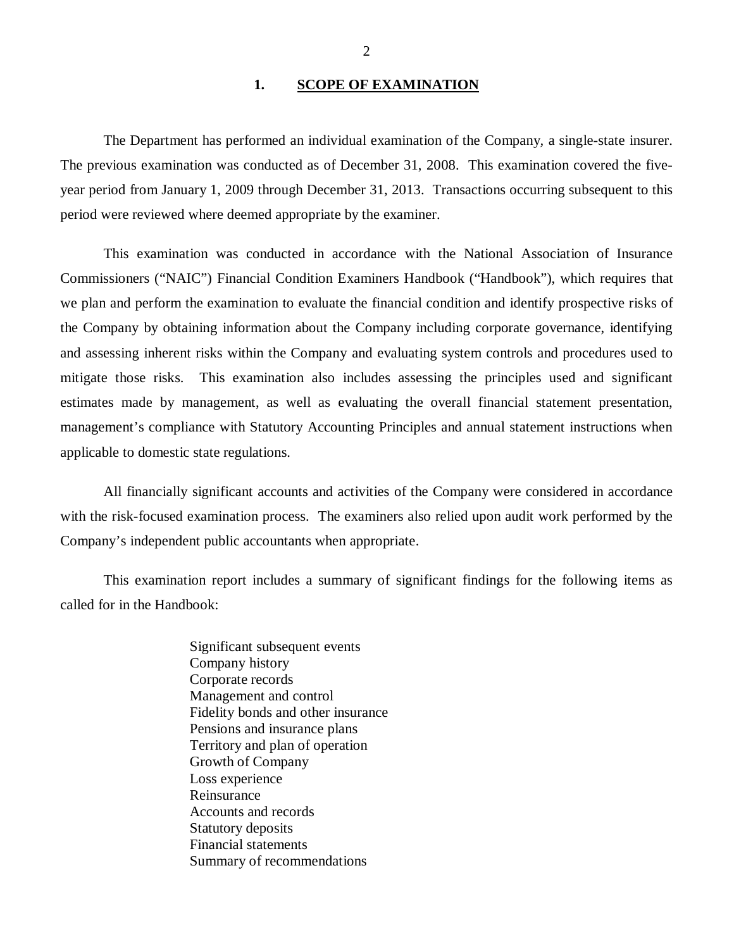#### **1. SCOPE OF EXAMINATION**

<span id="page-3-0"></span> The previous examination was conducted as of December 31, 2008. This examination covered the five- year period from January 1, 2009 through December 31, 2013. Transactions occurring subsequent to this period were reviewed where deemed appropriate by the examiner. The Department has performed an individual examination of the Company*,* a single-state insurer.

 Commissioners ("NAIC") Financial Condition Examiners Handbook ("Handbook"), which requires that we plan and perform the examination to evaluate the financial condition and identify prospective risks of the Company by obtaining information about the Company including corporate governance, identifying and assessing inherent risks within the Company and evaluating system controls and procedures used to mitigate those risks. This examination also includes assessing the principles used and significant estimates made by management, as well as evaluating the overall financial statement presentation, management's compliance with Statutory Accounting Principles and annual statement instructions when applicable to domestic state regulations. This examination was conducted in accordance with the National Association of Insurance

 with the risk-focused examination process. The examiners also relied upon audit work performed by the Company's independent public accountants when appropriate. All financially significant accounts and activities of the Company were considered in accordance

 called for in the Handbook: This examination report includes a summary of significant findings for the following items as

> Significant subsequent events Company history Corporate records Management and control Fidelity bonds and other insurance Pensions and insurance plans Territory and plan of operation Growth of Company Loss experience Reinsurance Reinsurance Accounts and records Statutory deposits Financial statements Summary of recommendations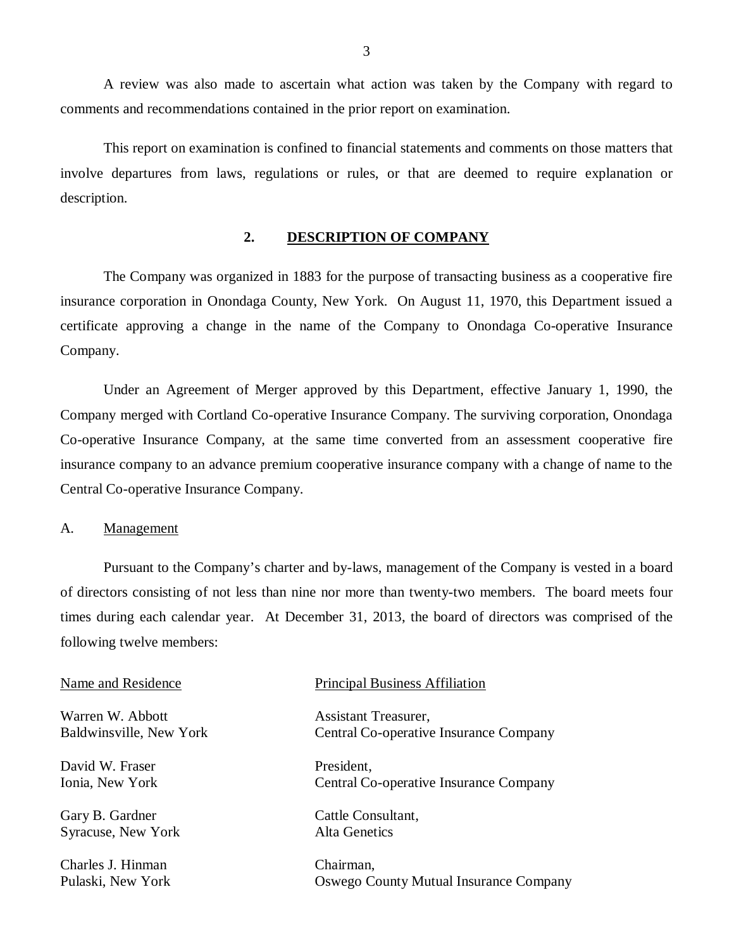comments and recommendations contained in the prior report on examination. A review was also made to ascertain what action was taken by the Company with regard to

 involve departures from laws, regulations or rules, or that are deemed to require explanation or This report on examination is confined to financial statements and comments on those matters that description.

### **2. DESCRIPTION OF COMPANY**

 The Company was organized in 1883 for the purpose of transacting business as a cooperative fire insurance corporation in Onondaga County, New York. On August 11, 1970, this Department issued a certificate approving a change in the name of the Company to Onondaga Co-operative Insurance Company.

 Under an Agreement of Merger approved by this Department, effective January 1, 1990, the Company merged with Cortland Co-operative Insurance Company. The surviving corporation, Onondaga Co-operative Insurance Company, at the same time converted from an assessment cooperative fire insurance company to an advance premium cooperative insurance company with a change of name to the Central Co-operative Insurance Company.

#### A. Management

Pulaski, New York

 Pursuant to the Company's charter and by-laws, management of the Company is vested in a board of directors consisting of not less than nine nor more than twenty-two members. The board meets four times during each calendar year. At December 31, 2013, the board of directors was comprised of the following twelve members:

| Name and Residence      | <b>Principal Business Affiliation</b>  |  |  |
|-------------------------|----------------------------------------|--|--|
| Warren W. Abbott        | Assistant Treasurer,                   |  |  |
| Baldwinsville, New York | Central Co-operative Insurance Company |  |  |
| David W. Fraser         | President,                             |  |  |
| Ionia, New York         | Central Co-operative Insurance Company |  |  |
| Gary B. Gardner         | Cattle Consultant,                     |  |  |
| Syracuse, New York      | Alta Genetics                          |  |  |
| Charles J. Hinman       | Chairman,                              |  |  |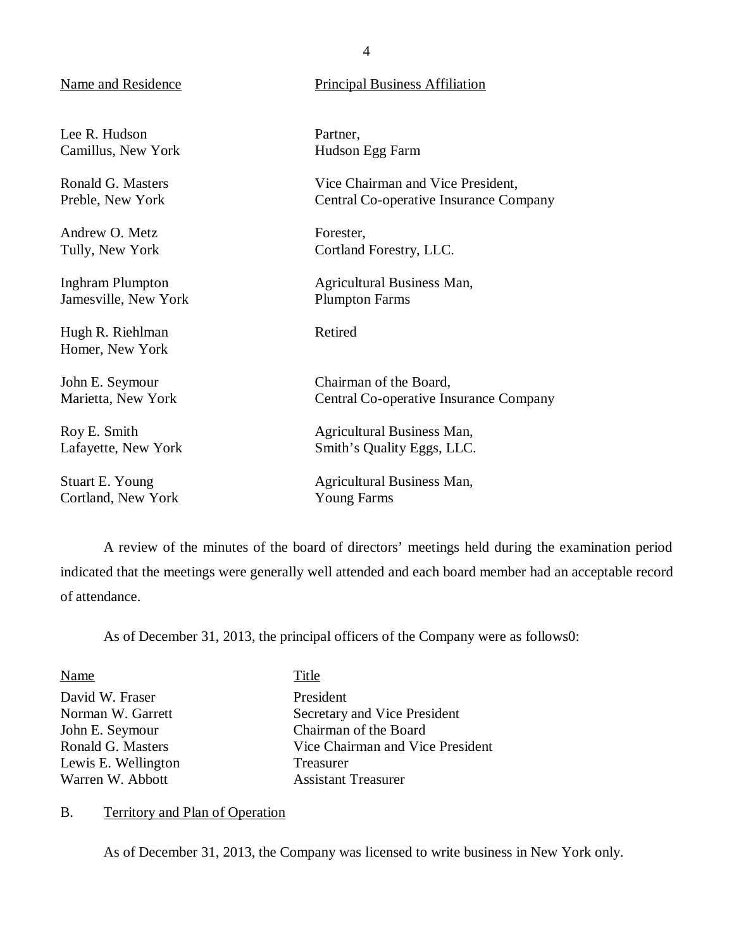Lee R. Hudson Camillus, New York

 Ronald G. Masters Preble, New York

 Andrew O. Metz Tully, New York

 Inghram Plumpton Jamesville, New York

 Hugh R. Riehlman Homer, New York

 John E. Seymour Marietta, New York

 Roy E. Smith Lafayette, New York

 Stuart E. Young Cortland, New York

## <span id="page-5-0"></span>Name and Residence **Principal Business** Affiliation

Partner, Hudson Egg Farm

 Vice Chairman and Vice President, Central Co-operative Insurance Company

Forester, Cortland Forestry, LLC.

 Agricultural Business Man, Plumpton Farms

Retired

 Chairman of the Board, Central Co-operative Insurance Company

 Agricultural Business Man, Smith's Quality Eggs, LLC.

 Agricultural Business Man, Young Farms

 indicated that the meetings were generally well attended and each board member had an acceptable record of attendance. A review of the minutes of the board of directors' meetings held during the examination period

As of December 31, 2013, the principal officers of the Company were as follows0:

| Name                | Title                            |
|---------------------|----------------------------------|
| David W. Fraser     | President                        |
| Norman W. Garrett   | Secretary and Vice President     |
| John E. Seymour     | Chairman of the Board            |
| Ronald G. Masters   | Vice Chairman and Vice President |
| Lewis E. Wellington | Treasurer                        |
| Warren W. Abbott    | <b>Assistant Treasurer</b>       |

#### B. Territory and Plan of Operation

As of December 31, 2013, the Company was licensed to write business in New York only.

4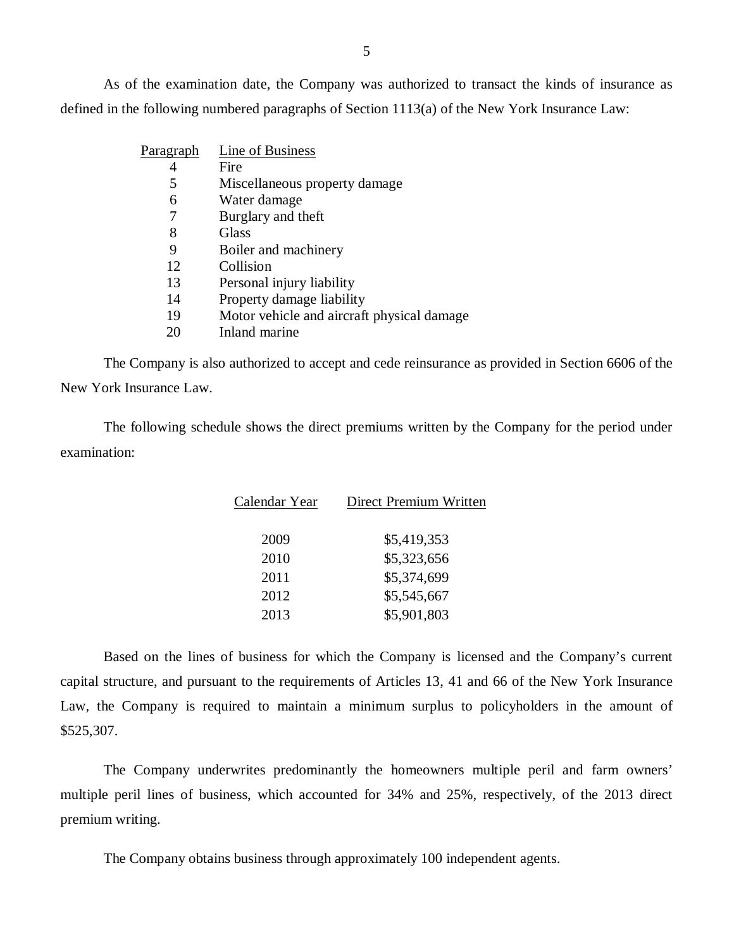defined in the following numbered paragraphs of Section 1113(a) of the New York Insurance Law: As of the examination date, the Company was authorized to transact the kinds of insurance as

| <u>Paragraph</u> | Line of Business                           |
|------------------|--------------------------------------------|
|                  | Fire                                       |
| 5                | Miscellaneous property damage              |
| 6                | Water damage                               |
|                  | Burglary and theft                         |
| 8                | Glass                                      |
| 9                | Boiler and machinery                       |
| 12               | Collision                                  |
| 13               | Personal injury liability                  |
| 14               | Property damage liability                  |
| 19               | Motor vehicle and aircraft physical damage |
|                  |                                            |

20 Inland marine

 New York Insurance Law. The Company is also authorized to accept and cede reinsurance as provided in Section 6606 of the

The following schedule shows the direct premiums written by the Company for the period under examination:

| Calendar Year | Direct Premium Written                                                                     |  |
|---------------|--------------------------------------------------------------------------------------------|--|
| 2009          | \$5,419,353                                                                                |  |
| 2010          | \$5,323,656                                                                                |  |
| 2011          | \$5,374,699                                                                                |  |
| 2012          | \$5,545,667                                                                                |  |
| 2013          | \$5,901,803                                                                                |  |
|               |                                                                                            |  |
|               | Based on the lines of business for which the Company is licensed and the Company's current |  |

 capital structure, and pursuant to the requirements of Articles 13, 41 and 66 of the New York Insurance Law, the Company is required to maintain a minimum surplus to policyholders in the amount of \$525,307.

 The Company underwrites predominantly the homeowners multiple peril and farm owners' multiple peril lines of business, which accounted for 34% and 25%, respectively, of the 2013 direct premium writing.

The Company obtains business through approximately 100 independent agents.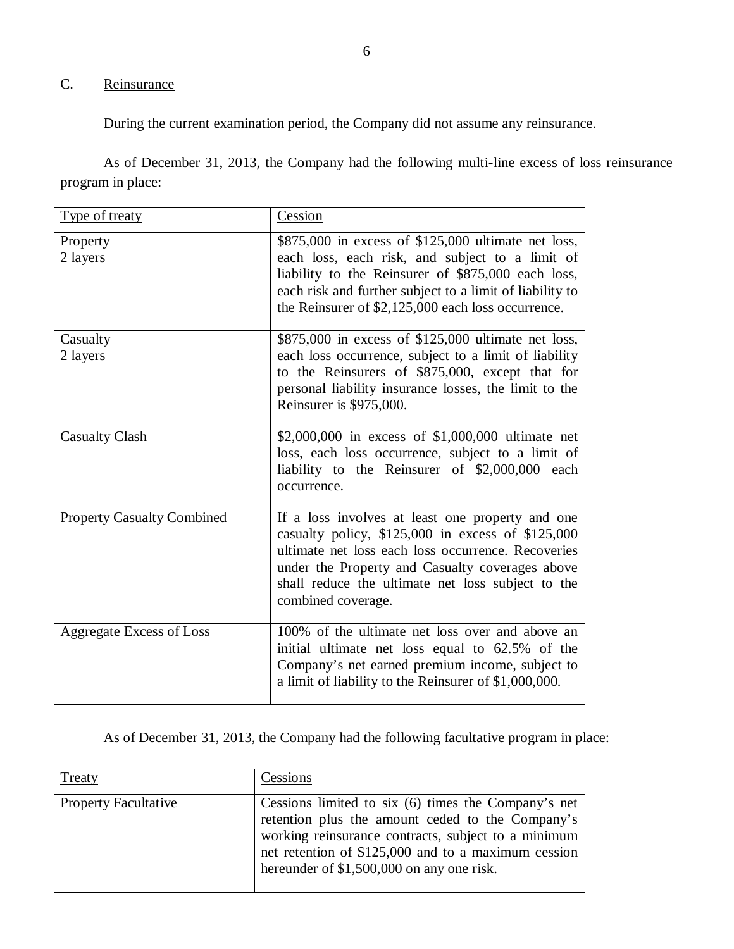## C. Reinsurance

During the current examination period, the Company did not assume any reinsurance.

 As of December 31, 2013, the Company had the following multi-line excess of loss reinsurance program in place:

| Type of treaty                    | Cession                                                                                                                                                                                                                                                                                   |
|-----------------------------------|-------------------------------------------------------------------------------------------------------------------------------------------------------------------------------------------------------------------------------------------------------------------------------------------|
| Property<br>2 layers              | \$875,000 in excess of \$125,000 ultimate net loss,<br>each loss, each risk, and subject to a limit of<br>liability to the Reinsurer of \$875,000 each loss,<br>each risk and further subject to a limit of liability to<br>the Reinsurer of \$2,125,000 each loss occurrence.            |
| Casualty<br>2 layers              | \$875,000 in excess of \$125,000 ultimate net loss,<br>each loss occurrence, subject to a limit of liability<br>to the Reinsurers of \$875,000, except that for<br>personal liability insurance losses, the limit to the<br>Reinsurer is \$975,000.                                       |
| <b>Casualty Clash</b>             | \$2,000,000 in excess of \$1,000,000 ultimate net<br>loss, each loss occurrence, subject to a limit of<br>liability to the Reinsurer of \$2,000,000 each<br>occurrence.                                                                                                                   |
| <b>Property Casualty Combined</b> | If a loss involves at least one property and one<br>casualty policy, \$125,000 in excess of \$125,000<br>ultimate net loss each loss occurrence. Recoveries<br>under the Property and Casualty coverages above<br>shall reduce the ultimate net loss subject to the<br>combined coverage. |
| <b>Aggregate Excess of Loss</b>   | 100% of the ultimate net loss over and above an<br>initial ultimate net loss equal to 62.5% of the<br>Company's net earned premium income, subject to<br>a limit of liability to the Reinsurer of \$1,000,000.                                                                            |

As of December 31, 2013, the Company had the following facultative program in place:

| Treaty                      | Cessions                                                                                                                                                                                                                                                           |
|-----------------------------|--------------------------------------------------------------------------------------------------------------------------------------------------------------------------------------------------------------------------------------------------------------------|
| <b>Property Facultative</b> | Cessions limited to six (6) times the Company's net<br>retention plus the amount ceded to the Company's<br>working reinsurance contracts, subject to a minimum<br>net retention of \$125,000 and to a maximum cession<br>hereunder of \$1,500,000 on any one risk. |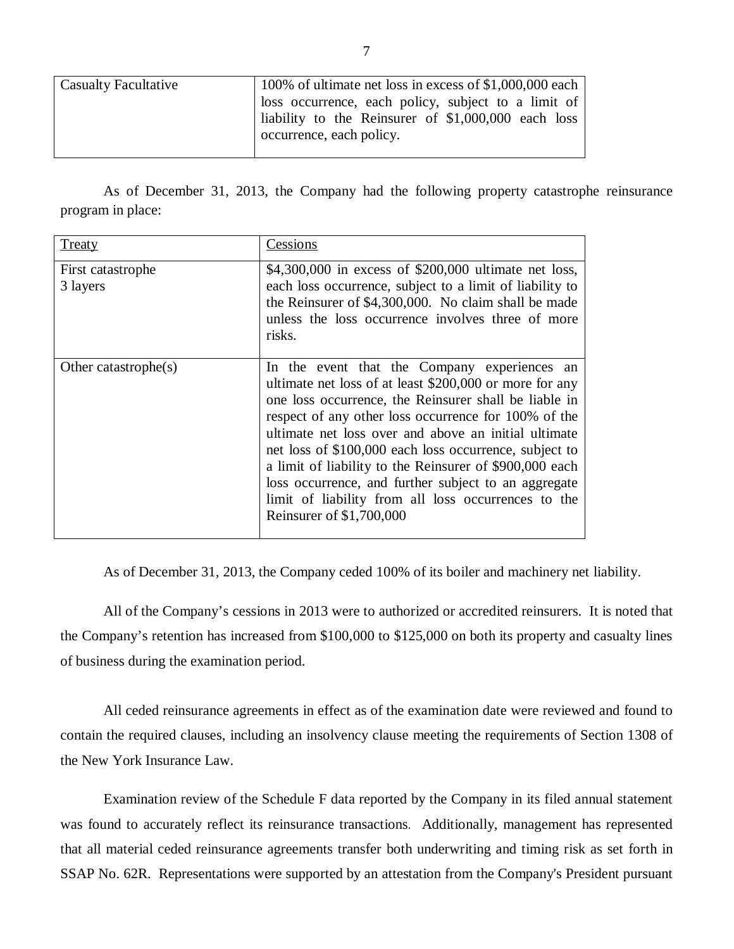| <b>Casualty Facultative</b> | 100% of ultimate net loss in excess of \$1,000,000 each  <br>loss occurrence, each policy, subject to a limit of $\vert$ |  |  |  |
|-----------------------------|--------------------------------------------------------------------------------------------------------------------------|--|--|--|
|                             |                                                                                                                          |  |  |  |
|                             | liability to the Reinsurer of \$1,000,000 each loss                                                                      |  |  |  |
|                             | occurrence, each policy.                                                                                                 |  |  |  |
|                             |                                                                                                                          |  |  |  |

 program in place: As of December 31, 2013, the Company had the following property catastrophe reinsurance

| <b>Treaty</b>                 | Cessions                                                                                                                                                                                                                                                                                                                                                                                                                                                                                                                                         |
|-------------------------------|--------------------------------------------------------------------------------------------------------------------------------------------------------------------------------------------------------------------------------------------------------------------------------------------------------------------------------------------------------------------------------------------------------------------------------------------------------------------------------------------------------------------------------------------------|
| First catastrophe<br>3 layers | \$4,300,000 in excess of \$200,000 ultimate net loss,<br>each loss occurrence, subject to a limit of liability to<br>the Reinsurer of \$4,300,000. No claim shall be made<br>unless the loss occurrence involves three of more<br>risks.                                                                                                                                                                                                                                                                                                         |
| Other catastrophe $(s)$       | In the event that the Company experiences an<br>ultimate net loss of at least \$200,000 or more for any<br>one loss occurrence, the Reinsurer shall be liable in<br>respect of any other loss occurrence for 100% of the<br>ultimate net loss over and above an initial ultimate<br>net loss of \$100,000 each loss occurrence, subject to<br>a limit of liability to the Reinsurer of \$900,000 each<br>loss occurrence, and further subject to an aggregate<br>limit of liability from all loss occurrences to the<br>Reinsurer of \$1,700,000 |

As of December 31, 2013, the Company ceded 100% of its boiler and machinery net liability.

 the Company's retention has increased from \$100,000 to \$125,000 on both its property and casualty lines of business during the examination period. All of the Company's cessions in 2013 were to authorized or accredited reinsurers. It is noted that

 All ceded reinsurance agreements in effect as of the examination date were reviewed and found to contain the required clauses, including an insolvency clause meeting the requirements of Section 1308 of the New York Insurance Law.

 Examination review of the Schedule F data reported by the Company in its filed annual statement was found to accurately reflect its reinsurance transactions. Additionally, management has represented that all material ceded reinsurance agreements transfer both underwriting and timing risk as set forth in SSAP No. 62R. Representations were supported by an attestation from the Company's President pursuant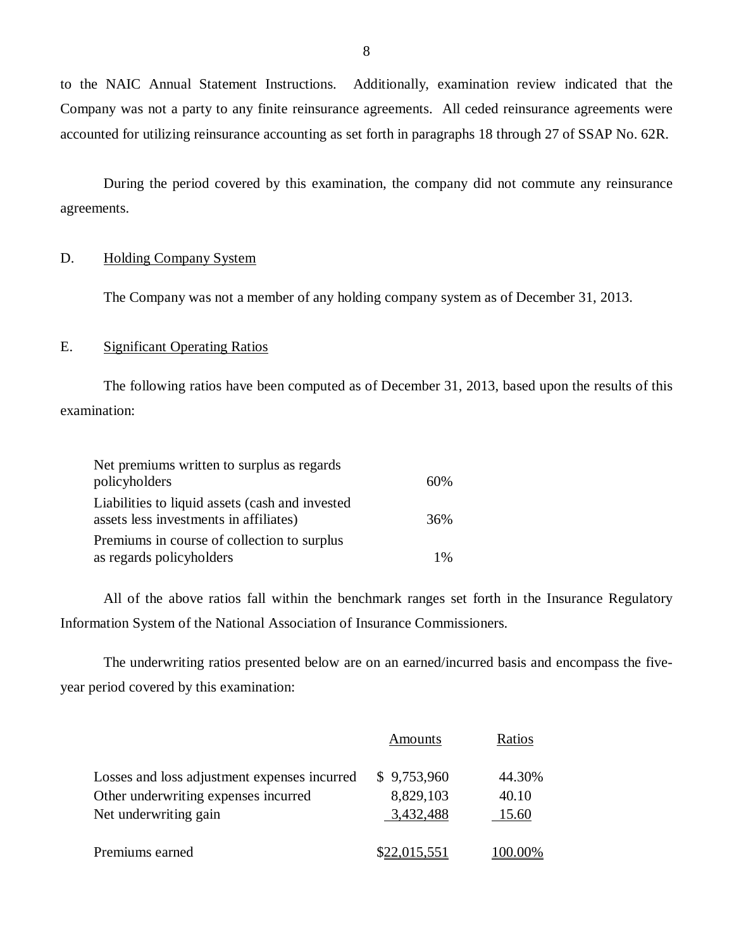to the NAIC Annual Statement Instructions. Company was not a party to any finite reinsurance agreements. All ceded reinsurance agreements were accounted for utilizing reinsurance accounting as set forth in paragraphs 18 through 27 of SSAP No. 62R. Additionally, examination review indicated that the

 During the period covered by this examination, the company did not commute any reinsurance agreements.

### D. Holding Company System

The Company was not a member of any holding company system as of December 31, 2013.

### E. Significant Operating Ratios

The following ratios have been computed as of December 31, 2013, based upon the results of this examination:

| Net premiums written to surplus as regards                                                |     |
|-------------------------------------------------------------------------------------------|-----|
| policyholders                                                                             | 60% |
| Liabilities to liquid assets (cash and invested<br>assets less investments in affiliates) | 36% |
| Premiums in course of collection to surplus                                               |     |
| as regards policyholders                                                                  | 1%  |

 Information System of the National Association of Insurance Commissioners. All of the above ratios fall within the benchmark ranges set forth in the Insurance Regulatory

 year period covered by this examination: The underwriting ratios presented below are on an earned/incurred basis and encompass the five-

|                                              | <b>Amounts</b> | Ratios  |
|----------------------------------------------|----------------|---------|
| Losses and loss adjustment expenses incurred | \$9,753,960    | 44.30%  |
| Other underwriting expenses incurred         | 8,829,103      | 40.10   |
| Net underwriting gain                        | 3,432,488      | 15.60   |
| Premiums earned                              | \$22,015,551   | 100.00% |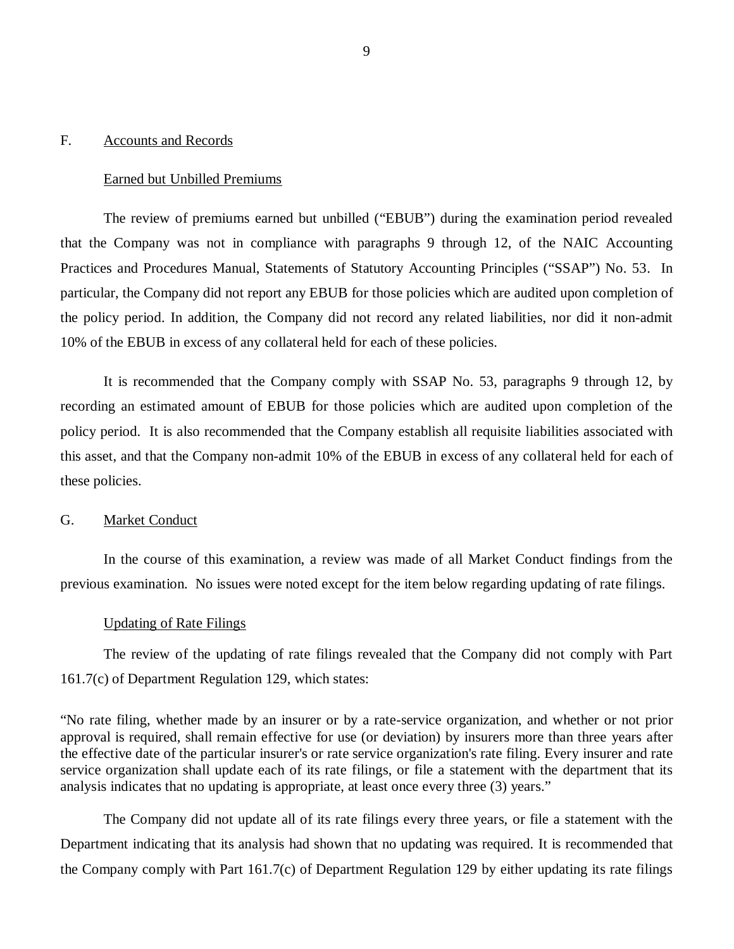#### <span id="page-10-0"></span>F. Accounts and Records

#### Earned but Unbilled Premiums

 that the Company was not in compliance with paragraphs 9 through 12, of the NAIC Accounting Practices and Procedures Manual, Statements of Statutory Accounting Principles ("SSAP") No. 53. In particular, the Company did not report any EBUB for those policies which are audited upon completion of the policy period. In addition, the Company did not record any related liabilities, nor did it non-admit 10% of the EBUB in excess of any collateral held for each of these policies. The review of premiums earned but unbilled ("EBUB") during the examination period revealed

 recording an estimated amount of EBUB for those policies which are audited upon completion of the policy period. It is also recommended that the Company establish all requisite liabilities associated with this asset, and that the Company non-admit 10% of the EBUB in excess of any collateral held for each of these policies. It is recommended that the Company comply with SSAP No. 53, paragraphs 9 through 12, by

#### $G_{\cdot}$ Market Conduct

 previous examination. No issues were noted except for the item below regarding updating of rate filings. In the course of this examination, a review was made of all Market Conduct findings from the

#### Updating of Rate Filings

 The review of the updating of rate filings revealed that the Company did not comply with Part 161.7(c) of Department Regulation 129, which states:

 "No rate filing, whether made by an insurer or by a rate-service organization, and whether or not prior approval is required, shall remain effective for use (or deviation) by insurers more than three years after the effective date of the particular insurer's or rate service organization's rate filing. Every insurer and rate service organization shall update each of its rate filings, or file a statement with the department that its analysis indicates that no updating is appropriate, at least once every three (3) years."

 The Company did not update all of its rate filings every three years, or file a statement with the Department indicating that its analysis had shown that no updating was required. It is recommended that the Company comply with Part 161.7(c) of Department Regulation 129 by either updating its rate filings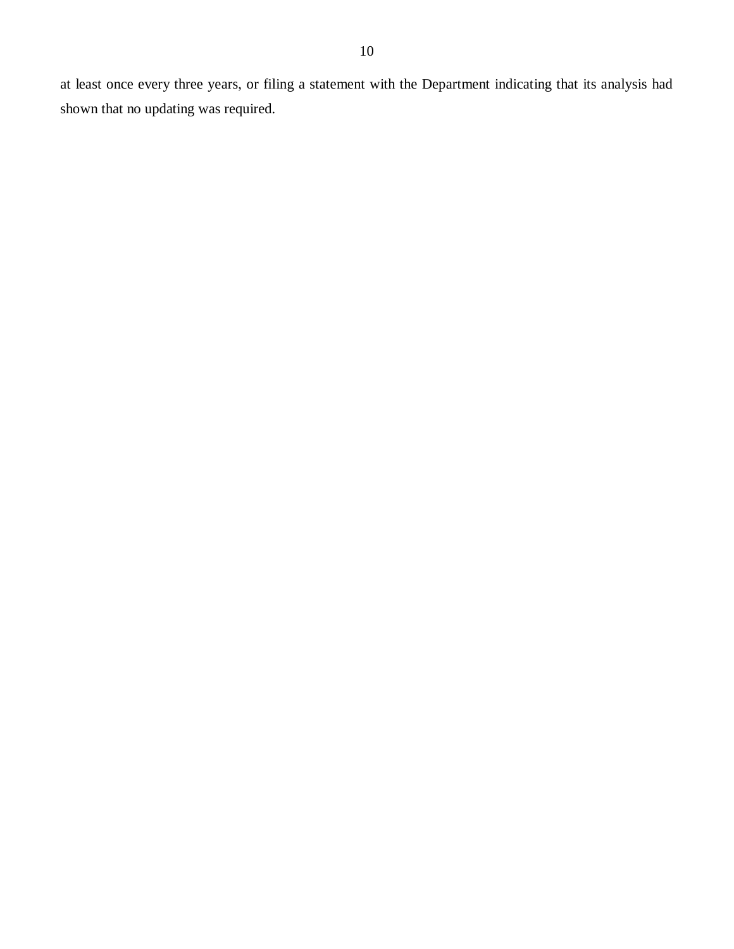at least once every three years, or filing a statement with the Department indicating that its analysis had shown that no updating was required.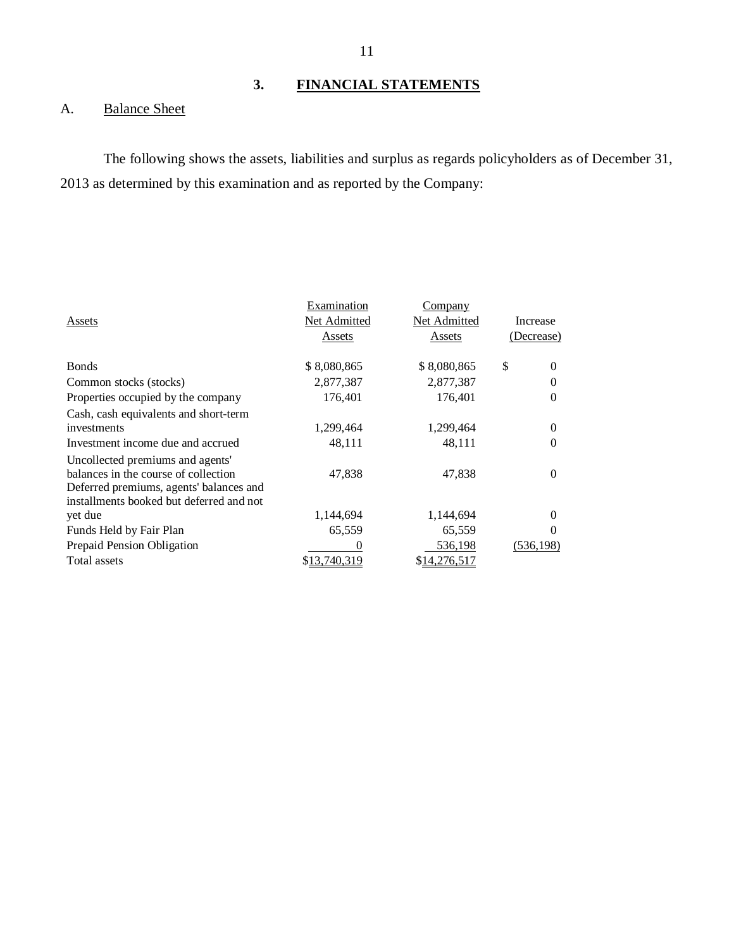## **3. FINANCIAL STATEMENTS**

#### $A.$ **Balance Sheet**

 The following shows the assets, liabilities and surplus as regards policyholders as of December 31, 2013 as determined by this examination and as reported by the Company:

|                                          | Examination  | Company      |                |
|------------------------------------------|--------------|--------------|----------------|
| Assets                                   | Net Admitted | Net Admitted | Increase       |
|                                          | Assets       | Assets       | (Decrease)     |
|                                          |              |              |                |
| <b>B</b> onds                            | \$8,080,865  | \$8,080,865  | \$<br>$\Omega$ |
| Common stocks (stocks)                   | 2,877,387    | 2,877,387    |                |
| Properties occupied by the company       | 176,401      | 176,401      | $\Omega$       |
| Cash, cash equivalents and short-term    |              |              |                |
| investments                              | 1,299,464    | 1,299,464    | $\Omega$       |
| Investment income due and accrued        | 48,111       | 48,111       | 0              |
| Uncollected premiums and agents'         |              |              |                |
| balances in the course of collection     | 47.838       | 47.838       | $\Omega$       |
| Deferred premiums, agents' balances and  |              |              |                |
| installments booked but deferred and not |              |              |                |
| yet due                                  | 1,144,694    | 1,144,694    | $\Omega$       |
| Funds Held by Fair Plan                  | 65,559       | 65,559       | $\theta$       |
| Prepaid Pension Obligation               | $\Omega$     | 536,198      | (536, 198)     |
| Total assets                             | \$13,740,319 | \$14,276,517 |                |
|                                          |              |              |                |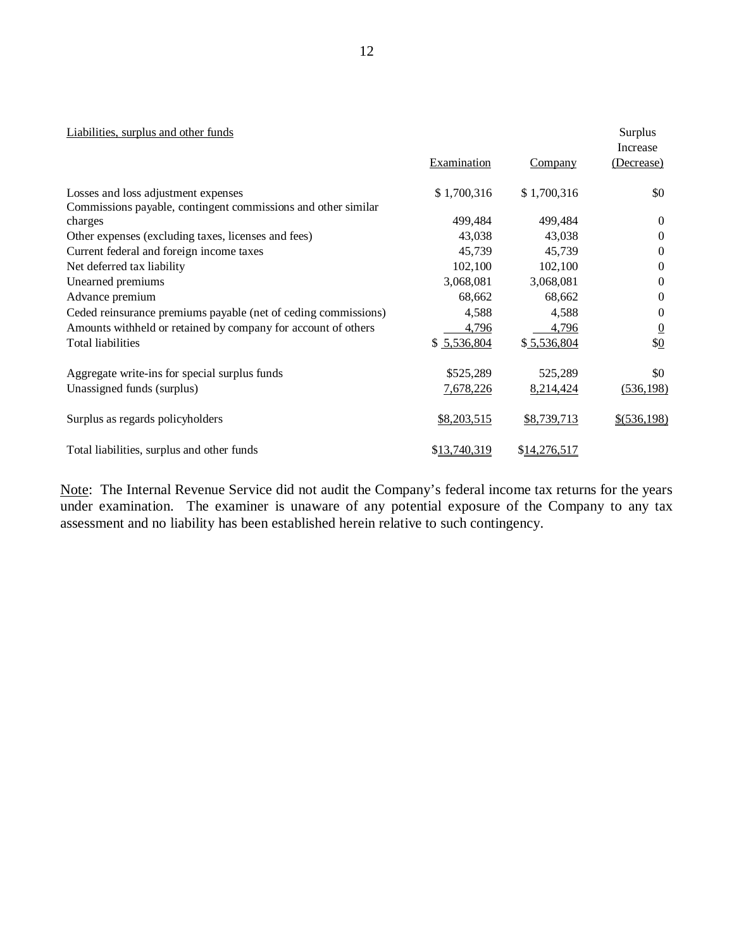#### Liabilities, surplus and other funds **Surplus** Surplus Surplus Surplus Surplus Surplus Surplus Surplus Surplus Surplus Surplus Surplus Surplus Surplus Surplus Surplus Surplus Surplus Surplus Surplus Surplus Surplus Surplus

|                                                                |                    |                | Increase       |  |
|----------------------------------------------------------------|--------------------|----------------|----------------|--|
|                                                                | <b>Examination</b> | <b>Company</b> | (Decrease)     |  |
| Losses and loss adjustment expenses                            | \$1,700,316        | \$1,700,316    | \$0            |  |
| Commissions payable, contingent commissions and other similar  |                    |                |                |  |
| charges                                                        | 499,484            | 499,484        | $\Omega$       |  |
| Other expenses (excluding taxes, licenses and fees)            | 43,038             | 43,038         | $\Omega$       |  |
| Current federal and foreign income taxes                       | 45,739             | 45,739         | $\Omega$       |  |
| Net deferred tax liability                                     | 102,100            | 102,100        | $\mathbf{0}$   |  |
| Unearned premiums                                              | 3,068,081          | 3,068,081      | $\Omega$       |  |
| Advance premium                                                | 68,662             | 68,662         | $\Omega$       |  |
| Ceded reinsurance premiums payable (net of ceding commissions) | 4,588              | 4,588          | $\Omega$       |  |
| Amounts withheld or retained by company for account of others  | 4,796              | 4,796          | $\overline{0}$ |  |
| <b>Total liabilities</b>                                       | \$5,536,804        | \$5,536,804    | \$0            |  |
| Aggregate write-ins for special surplus funds                  | \$525,289          | 525,289        | \$0            |  |
| Unassigned funds (surplus)                                     | 7,678,226          | 8,214,424      | (536, 198)     |  |
| Surplus as regards policyholders                               | \$8,203,515        | \$8,739,713    | $$$ (536,198)  |  |
| Total liabilities, surplus and other funds                     | \$13,740,319       | \$14,276,517   |                |  |

Note: The Internal Revenue Service did not audit the Company's federal income tax returns for the years under examination. The examiner is unaware of any potential exposure of the Company to any tax assessment and no liability has been established herein relative to such contingency.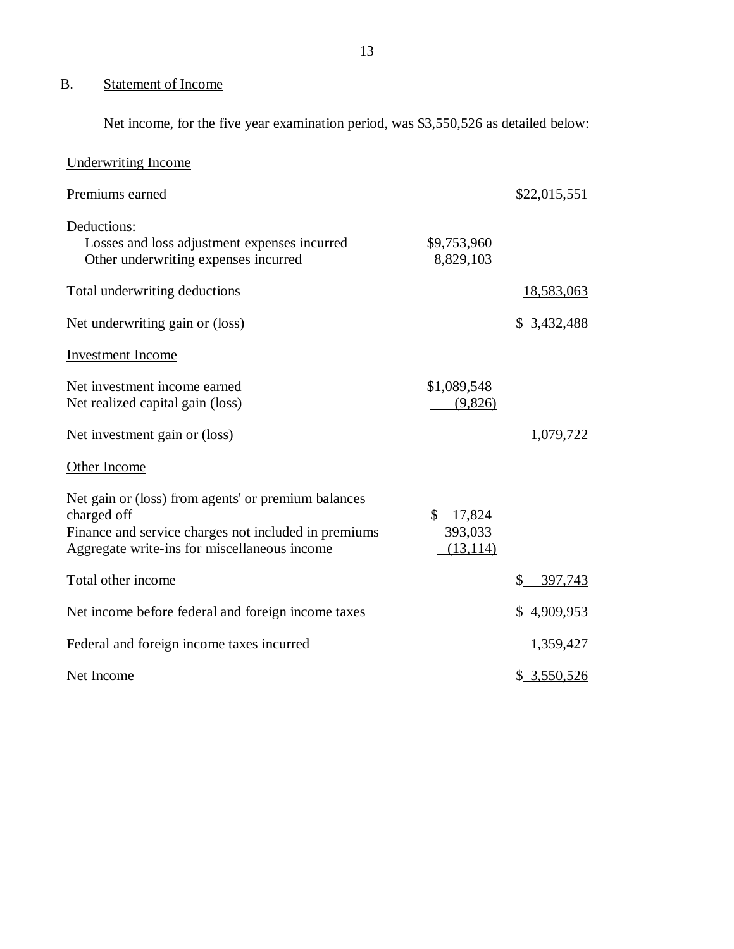#### <span id="page-14-0"></span>B. Statement of Income

Net income, for the five year examination period, was \$3,550,526 as detailed below:

| <b>Underwriting Income</b>                                                                                                                                                 |                                                |               |
|----------------------------------------------------------------------------------------------------------------------------------------------------------------------------|------------------------------------------------|---------------|
| Premiums earned                                                                                                                                                            |                                                | \$22,015,551  |
| Deductions:<br>Losses and loss adjustment expenses incurred<br>Other underwriting expenses incurred                                                                        | \$9,753,960<br>8,829,103                       |               |
| Total underwriting deductions                                                                                                                                              |                                                | 18,583,063    |
| Net underwriting gain or (loss)                                                                                                                                            |                                                | \$3,432,488   |
| <b>Investment Income</b>                                                                                                                                                   |                                                |               |
| Net investment income earned<br>Net realized capital gain (loss)                                                                                                           | \$1,089,548<br>(9,826)                         |               |
| Net investment gain or (loss)                                                                                                                                              |                                                | 1,079,722     |
| Other Income                                                                                                                                                               |                                                |               |
| Net gain or (loss) from agents' or premium balances<br>charged off<br>Finance and service charges not included in premiums<br>Aggregate write-ins for miscellaneous income | $\mathbb{S}$<br>17,824<br>393,033<br>(13, 114) |               |
| Total other income                                                                                                                                                         |                                                | \$<br>397,743 |
| Net income before federal and foreign income taxes                                                                                                                         |                                                | \$4,909,953   |
| Federal and foreign income taxes incurred                                                                                                                                  |                                                | 1,359,427     |
| Net Income                                                                                                                                                                 |                                                | \$3,550,526   |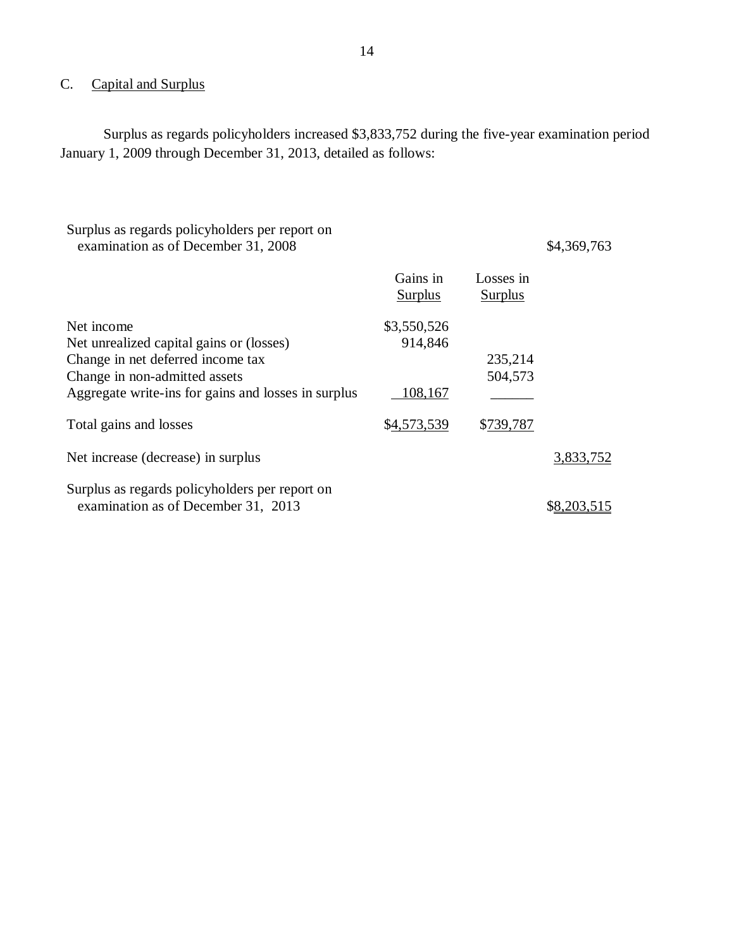#### <span id="page-15-0"></span>C. Capital and Surplus

 Surplus as regards policyholders increased \$3,833,752 during the five-year examination period January 1, 2009 through December 31, 2013, detailed as follows:

| Surplus as regards policyholders per report on<br>examination as of December 31, 2008 |                            |                             | \$4,369,763 |
|---------------------------------------------------------------------------------------|----------------------------|-----------------------------|-------------|
|                                                                                       | Gains in<br><b>Surplus</b> | Losses in<br><b>Surplus</b> |             |
| Net income<br>Net unrealized capital gains or (losses)                                | \$3,550,526<br>914,846     |                             |             |
| Change in net deferred income tax                                                     |                            | 235,214                     |             |
| Change in non-admitted assets<br>Aggregate write-ins for gains and losses in surplus  | 108,167                    | 504,573                     |             |
| Total gains and losses                                                                | \$4,573,539                | \$739,787                   |             |
| Net increase (decrease) in surplus                                                    |                            |                             | 3,833,752   |
| Surplus as regards policyholders per report on<br>examination as of December 31, 2013 |                            |                             |             |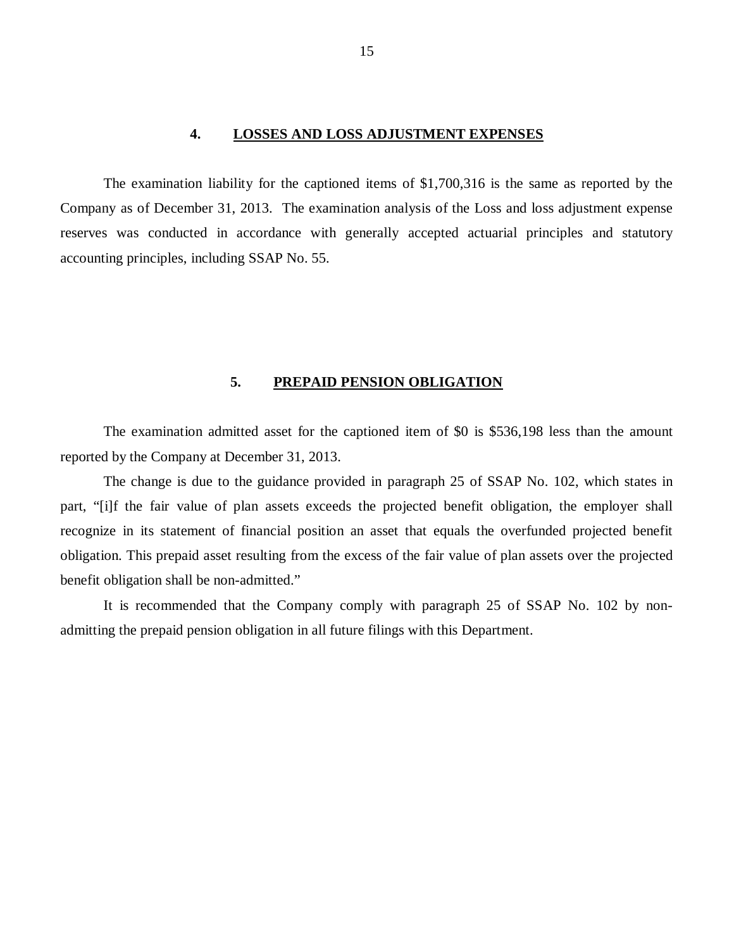#### **4. LOSSES AND LOSS ADJUSTMENT EXPENSES**

<span id="page-16-0"></span> Company as of December 31, 2013. The examination analysis of the Loss and loss adjustment expense reserves was conducted in accordance with generally accepted actuarial principles and statutory accounting principles, including SSAP No. 55. The examination liability for the captioned items of \$1,700,316 is the same as reported by the

#### **5. PREPAID PENSION OBLIGATION**

 reported by the Company at December 31, 2013. The examination admitted asset for the captioned item of \$0 is \$536,198 less than the amount

 The change is due to the guidance provided in paragraph 25 of SSAP No. 102, which states in part, "[i]f the fair value of plan assets exceeds the projected benefit obligation, the employer shall recognize in its statement of financial position an asset that equals the overfunded projected benefit obligation. This prepaid asset resulting from the excess of the fair value of plan assets over the projected benefit obligation shall be non-admitted."

 It is recommended that the Company comply with paragraph 25 of SSAP No. 102 by non-admitting the prepaid pension obligation in all future filings with this Department.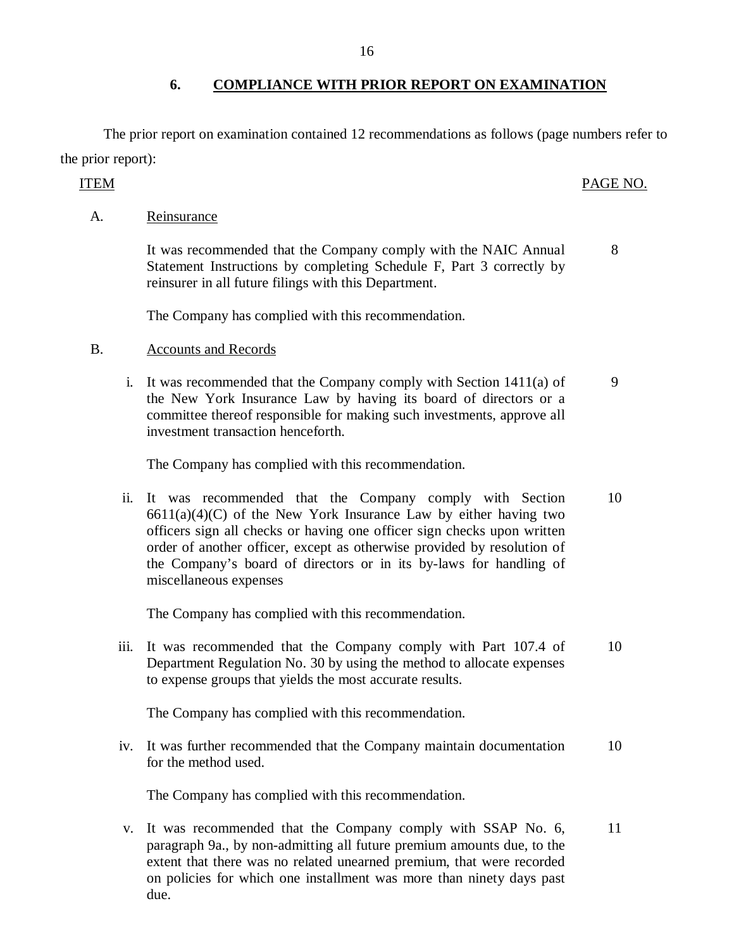### **6. COMPLIANCE WITH PRIOR REPORT ON EXAMINATION**

 The prior report on examination contained 12 recommendations as follows (page numbers refer to the prior report):

#### PAGE NO. ITEM PAGE NO.

8

A. Reinsurance

 It was recommended that the Company comply with the NAIC Annual Statement Instructions by completing Schedule F, Part 3 correctly by reinsurer in all future filings with this Department.

The Company has complied with this recommendation.

### B. Accounts and Records

 i. It was recommended that the Company comply with Section 1411(a) of the New York Insurance Law by having its board of directors or a committee thereof responsible for making such investments, approve all investment transaction henceforth. 9

The Company has complied with this recommendation.

 ii. It was recommended that the Company comply with Section  $6611(a)(4)(C)$  of the New York Insurance Law by either having two officers sign all checks or having one officer sign checks upon written order of another officer, except as otherwise provided by resolution of the Company's board of directors or in its by-laws for handling of miscellaneous expenses 10

The Company has complied with this recommendation.

 iii. It was recommended that the Company comply with Part 107.4 of Department Regulation No. 30 by using the method to allocate expenses to expense groups that yields the most accurate results. 10

The Company has complied with this recommendation.

 iv. It was further recommended that the Company maintain documentation for the method used. 10

The Company has complied with this recommendation.

 v. It was recommended that the Company comply with SSAP No. 6, paragraph 9a., by non-admitting all future premium amounts due, to the extent that there was no related unearned premium, that were recorded on policies for which one installment was more than ninety days past due. 11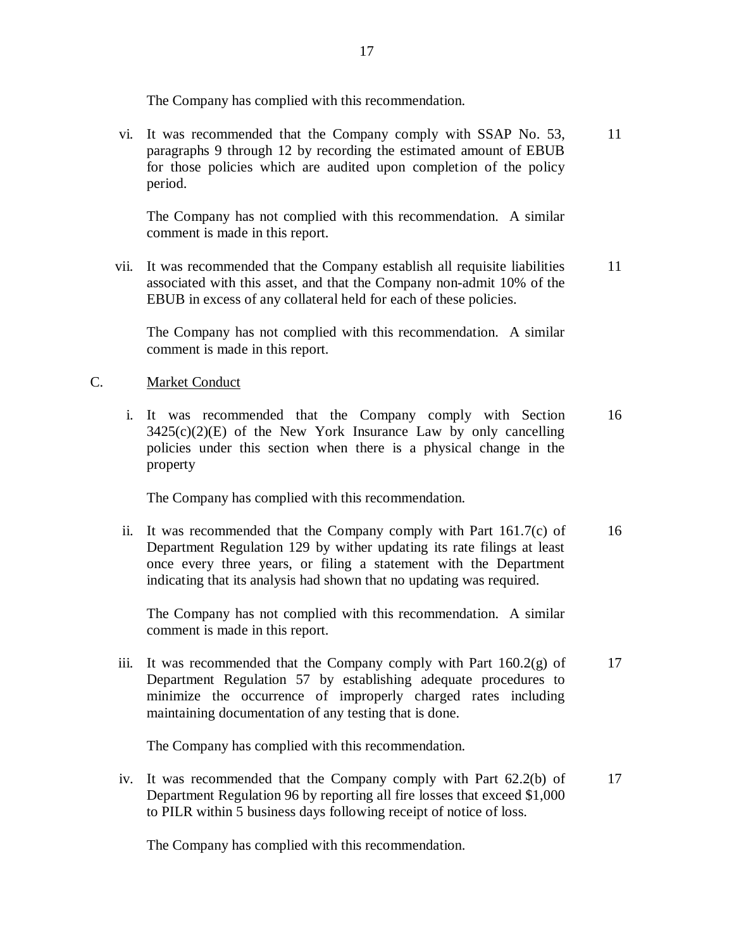The Company has complied with this recommendation.

 vi. It was recommended that the Company comply with SSAP No. 53, paragraphs 9 through 12 by recording the estimated amount of EBUB for those policies which are audited upon completion of the policy period. 11

 The Company has not complied with this recommendation. A similar comment is made in this report.

 vii. It was recommended that the Company establish all requisite liabilities associated with this asset, and that the Company non-admit 10% of the EBUB in excess of any collateral held for each of these policies. 11

 The Company has not complied with this recommendation. A similar comment is made in this report.

### C. Market Conduct

 i. It was recommended that the Company comply with Section  $3425(c)(2)(E)$  of the New York Insurance Law by only cancelling policies under this section when there is a physical change in the property 16

The Company has complied with this recommendation.

 ii. It was recommended that the Company comply with Part 161.7(c) of Department Regulation 129 by wither updating its rate filings at least once every three years, or filing a statement with the Department indicating that its analysis had shown that no updating was required. 16

 The Company has not complied with this recommendation. A similar comment is made in this report.

 iii. It was recommended that the Company comply with Part 160.2(g) of Department Regulation 57 by establishing adequate procedures to minimize the occurrence of improperly charged rates including maintaining documentation of any testing that is done. 17

The Company has complied with this recommendation.

 iv. It was recommended that the Company comply with Part 62.2(b) of Department Regulation 96 by reporting all fire losses that exceed \$1,000 to PILR within 5 business days following receipt of notice of loss. 17

The Company has complied with this recommendation.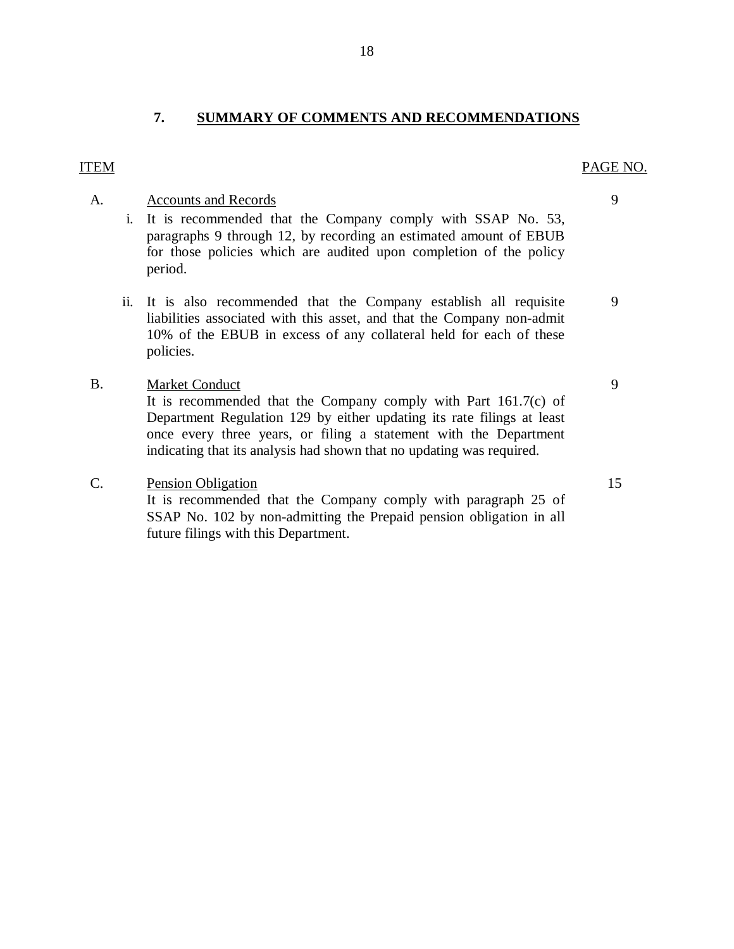### **7. SUMMARY OF COMMENTS AND RECOMMENDATIONS**

#### ITEM PAGE NO.

#### A. Accounts and Records

- i. It is recommended that the Company comply with SSAP No. 53, paragraphs 9 through 12, by recording an estimated amount of EBUB for those policies which are audited upon completion of the policy period.
- ii. It is also recommended that the Company establish all requisite liabilities associated with this asset, and that the Company non-admit 10% of the EBUB in excess of any collateral held for each of these policies.

#### Market Conduct B.

 It is recommended that the Company comply with Part 161.7(c) of Department Regulation 129 by either updating its rate filings at least once every three years, or filing a statement with the Department indicating that its analysis had shown that no updating was required.

#### **Pension Obligation** C.

 It is recommended that the Company comply with paragraph 25 of SSAP No. 102 by non-admitting the Prepaid pension obligation in all future filings with this Department.

9

PAGE NO.

9

9

15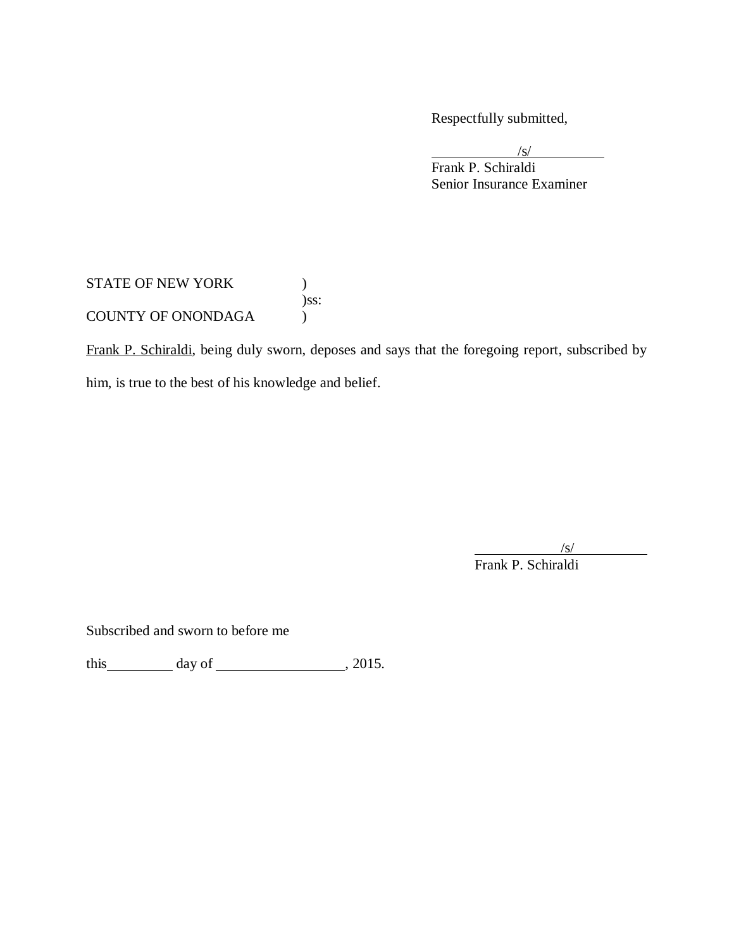Respectfully submitted,

 Senior Insurance Examiner /s/ Frank P. Schiraldi

STATE OF NEW YORK  $)$ COUNTY OF ONONDAGA (1) )ss:

Frank P. Schiraldi, being duly sworn, deposes and says that the foregoing report, subscribed by him, is true to the best of his knowledge and belief.

/s/

Frank P. Schiraldi

Subscribed and sworn to before me

this  $\_\_\_\_\_$  day of  $\_\_\_\_\_\_$ , 2015.